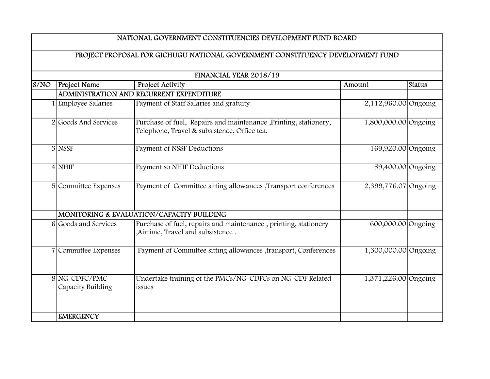## NATIONAL GOVERNMENT CONSTITUENCIES DEVELOPMENT FUND BOARD

## PROJECT PROPOSAL FOR GICHUGU NATIONAL GOVERNMENT CONSTITUENCY DEVELOPMENT FUND

| FINANCIAL YEAR 2018/19 |                                    |                                                                                                                   |                      |        |
|------------------------|------------------------------------|-------------------------------------------------------------------------------------------------------------------|----------------------|--------|
| S/NO                   | Project Name                       | Project Activity                                                                                                  | Amount               | Status |
|                        |                                    | ADMINISTRATION AND RECURRENT EXPENDITURE                                                                          |                      |        |
|                        | 1 Employee Salaries                | Payment of Staff Salaries and gratuity                                                                            | 2,112,960.00 Ongoing |        |
|                        | 2 Goods And Services               | Purchase of fuel, Repairs and maintenance , Printing, stationery,<br>Telephone, Travel & subsistence, Office tea. | 1,800,000.00 Ongoing |        |
|                        | 3 NSSF                             | Payment of NSSF Deductions                                                                                        | 169,920.00 Ongoing   |        |
|                        | $4$ NHIF                           | Payment so NHIF Deductions                                                                                        | 59,400.00 Ongoing    |        |
|                        | 5 Committee Expenses               | Payment of Committee sitting allowances , Transport conferences                                                   | 2,399,776.07 Ongoing |        |
|                        |                                    | MONITORING & EVALUATION/CAPACITY BUILDING                                                                         |                      |        |
|                        | 6 Goods and Services               | Purchase of fuel, repairs and maintenance, printing, stationery<br>, Airtime, Travel and subsistence.             | 600,000.00 Ongoing   |        |
|                        | 7 Committee Expenses               | Payment of Committee sitting allowances ,transport, Conferences                                                   | 1,300,000.00 Ongoing |        |
|                        | 8 NG-CDFC/PMC<br>Capacity Building | Undertake training of the PMCs/NG-CDFCs on NG-CDF Related<br>issues                                               | 1,371,226.00 Ongoing |        |
|                        | <b>EMERGENCY</b>                   |                                                                                                                   |                      |        |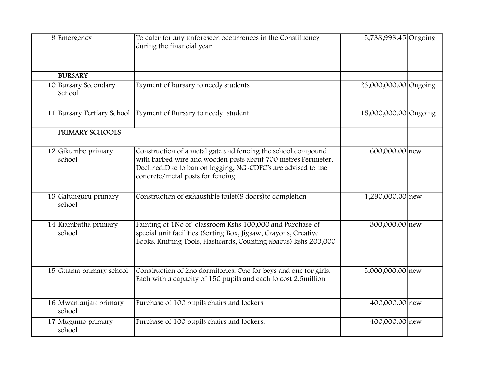| 9 Emergency                     | To cater for any unforeseen occurrences in the Constituency<br>during the financial year                                                                                                                                          | 5,738,993.45 Ongoing  |  |
|---------------------------------|-----------------------------------------------------------------------------------------------------------------------------------------------------------------------------------------------------------------------------------|-----------------------|--|
| <b>BURSARY</b>                  |                                                                                                                                                                                                                                   |                       |  |
| 10 Bursary Secondary<br>School  | Payment of bursary to needy students                                                                                                                                                                                              | 23,000,000.00 Ongoing |  |
| 11 Bursary Tertiary School      | Payment of Bursary to needy student                                                                                                                                                                                               | 15,000,000.00 Ongoing |  |
| <b>PRIMARY SCHOOLS</b>          |                                                                                                                                                                                                                                   |                       |  |
| 12 Gikumbo primary<br>school    | Construction of a metal gate and fencing the school compound<br>with barbed wire and wooden posts about 700 metres Perimeter.<br>Declined.Due to ban on logging, NG-CDFC's are advised to use<br>concrete/metal posts for fencing | 600,000.00 new        |  |
| 13 Gatunguru primary<br>school  | Construction of exhaustible toilet(8 doors) to completion                                                                                                                                                                         | 1,290,000.00 new      |  |
| 14 Kiambatha primary<br>school  | Painting of 1No of classroom Kshs 100,000 and Purchase of<br>special unit facilities (Sorting Box, Jigsaw, Crayons, Creative<br>Books, Knitting Tools, Flashcards, Counting abacus) kshs 200,000                                  | 300,000.00 new        |  |
| 15 Guama primary school         | Construction of 2no dormitories. One for boys and one for girls.<br>Each with a capacity of 150 pupils and each to cost 2.5million                                                                                                | 5,000,000.00 new      |  |
| 16 Mwanianjau primary<br>school | Purchase of 100 pupils chairs and lockers                                                                                                                                                                                         | 400,000.00 new        |  |
| 17 Mugumo primary<br>school     | Purchase of 100 pupils chairs and lockers.                                                                                                                                                                                        | 400,000.00 new        |  |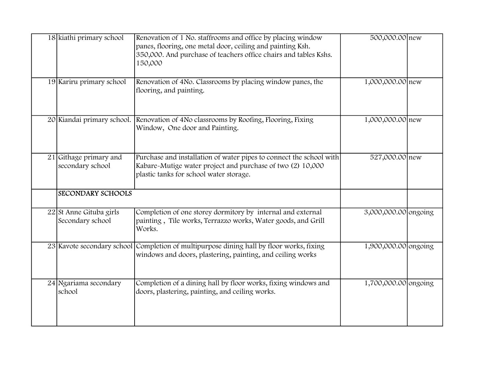| 18 kiathi primary school                    | Renovation of 1 No. staffrooms and office by placing window<br>panes, flooring, one metal door, ceiling and painting Ksh.<br>350,000. And purchase of teachers office chairs and tables Kshs.<br>150,000 | 500,000.00 new       |  |
|---------------------------------------------|----------------------------------------------------------------------------------------------------------------------------------------------------------------------------------------------------------|----------------------|--|
| 19 Kariru primary school                    | Renovation of 4No. Classrooms by placing window panes, the<br>flooring, and painting.                                                                                                                    | 1,000,000.00 new     |  |
|                                             | 20 Kiandai primary school. Renovation of 4No classrooms by Roofing, Flooring, Fixing<br>Window, One door and Painting.                                                                                   | 1,000,000.00 new     |  |
| 21 Githage primary and<br>secondary school  | Purchase and installation of water pipes to connect the school with<br>Kabare-Mutige water project and purchase of two (2) 10,000<br>plastic tanks for school water storage.                             | 527,000.00 new       |  |
| <b>SECONDARY SCHOOLS</b>                    |                                                                                                                                                                                                          |                      |  |
| 22 St Anne Gituba girls<br>Secondary school | Completion of one storey dormitory by internal and external<br>painting, Tile works, Terrazzo works, Water goods, and Grill<br>Works.                                                                    | 3,000,000.00 ongoing |  |
|                                             | 23 Kavote secondary school Completion of multipurpose dining hall by floor works, fixing<br>windows and doors, plastering, painting, and ceiling works                                                   | 1,900,000.00 ongoing |  |
| 24 Ngariama secondary<br>school             | Completion of a dining hall by floor works, fixing windows and<br>doors, plastering, painting, and ceiling works.                                                                                        | 1,700,000.00 ongoing |  |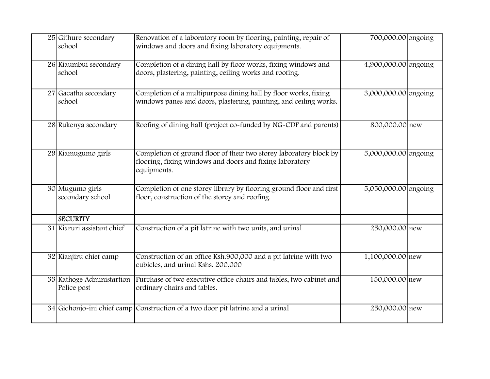| 25 Githure secondary<br>school           | Renovation of a laboratory room by flooring, painting, repair of<br>windows and doors and fixing laboratory equipments.                       | 700,000.00 ongoing   |  |
|------------------------------------------|-----------------------------------------------------------------------------------------------------------------------------------------------|----------------------|--|
| 26 Kiaumbui secondary<br>school          | Completion of a dining hall by floor works, fixing windows and<br>doors, plastering, painting, ceiling works and roofing.                     | 4,900,000.00 ongoing |  |
| 27 Gacatha secondary<br>school           | Completion of a multipurpose dining hall by floor works, fixing<br>windows panes and doors, plastering, painting, and ceiling works.          | 3,000,000.00 ongoing |  |
| 28 Rukenya secondary                     | Roofing of dining hall (project co-funded by NG-CDF and parents)                                                                              | 800,000.00 new       |  |
| 29 Kiamugumo girls                       | Completion of ground floor of their two storey laboratory block by<br>flooring, fixing windows and doors and fixing laboratory<br>equipments. | 5,000,000.00 ongoing |  |
| 30 Mugumo girls<br>secondary school      | Completion of one storey library by flooring ground floor and first<br>floor, construction of the storey and roofing.                         | 5,050,000.00 ongoing |  |
| <b>SECURITY</b>                          |                                                                                                                                               |                      |  |
| 31 Kiaruri assistant chief               | Construction of a pit latrine with two units, and urinal                                                                                      | 250,000.00 new       |  |
| 32 Kianjiru chief camp                   | Construction of an office Ksh.900,000 and a pit latrine with two<br>cubicles, and urinal Kshs. 200,000                                        | 1,100,000.00 new     |  |
| 33 Kathoge Administartion<br>Police post | Purchase of two executive office chairs and tables, two cabinet and<br>ordinary chairs and tables.                                            | 150,000.00 new       |  |
|                                          | 34 Gichonjo-ini chief camp Construction of a two door pit latrine and a urinal                                                                | 250,000.00 new       |  |